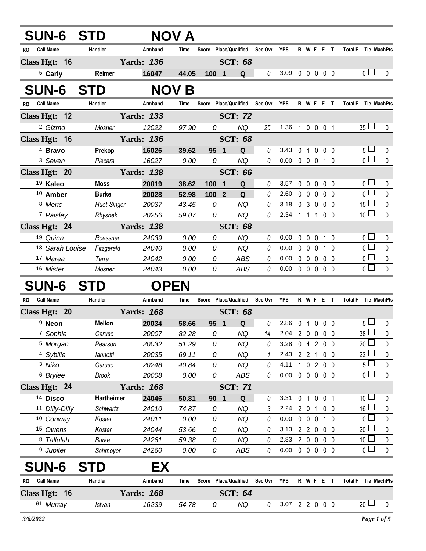| <b>SUN-6 STD</b>              |                    |                   | NOV A         |        |                                           |          |                                    |              |                   |                   |                  |                                      |                |
|-------------------------------|--------------------|-------------------|---------------|--------|-------------------------------------------|----------|------------------------------------|--------------|-------------------|-------------------|------------------|--------------------------------------|----------------|
| RO Call Name                  | Handler            | Armband           | Time          |        | Score Place/Qualified Sec Ovr YPS         |          |                                    |              | R W F E T         |                   |                  | Total F Tie MachPts                  |                |
| Class Hgt: 16                 |                    | <b>Yards: 136</b> |               |        | <b>SCT: 68</b>                            |          |                                    |              |                   |                   |                  |                                      |                |
| <sup>5</sup> Carly            | Reimer             | 16047             | 44.05         | 100 1  | Q                                         | 0        | 3.09 0 0 0 0 0                     |              |                   |                   |                  | $\mathbf{0}$                         | 0              |
| <b>SUN-6</b>                  | <b>STD</b>         |                   | <b>NOV B</b>  |        |                                           |          |                                    |              |                   |                   |                  |                                      |                |
| RO Call Name                  | Handler            | Armband           | Time          |        | Score Place/Qualified Sec Ovr YPS         |          |                                    |              | R W F E T         |                   |                  | <b>Total F</b><br>Tie MachPts        |                |
| Class Hgt: 12                 |                    | <b>Yards: 133</b> |               |        | <b>SCT: 72</b>                            |          |                                    |              |                   |                   |                  |                                      |                |
| <sup>2</sup> Gizmo            | Mosner             | 12022             | 97.90         | 0      | <b>NQ</b>                                 | 25       | 1.36 1 0 0 0 1                     |              |                   |                   |                  | $35 \Box$                            | 0              |
| Class Hgt: 16                 |                    | <b>Yards: 136</b> |               |        | <b>SCT: 68</b>                            |          |                                    |              |                   |                   |                  |                                      |                |
| 4 Bravo                       | Prekop             | 16026             | 39.62         | 95 1   | Q                                         | 0        | 3.43                               |              | 0 1 0 0 0         |                   |                  | 5 <sub>1</sub>                       | 0              |
| 3 Seven                       | Piecara            | 16027             | 0.00          | 0      | <b>NQ</b>                                 | $\theta$ | $0.00 \t 0 \t 0 \t 0$              |              |                   |                   | $1\quad0$        | 0 <sup>1</sup>                       | 0              |
| Class Hgt: 20                 |                    | <b>Yards: 138</b> |               |        | <b>SCT: 66</b>                            |          |                                    |              |                   |                   |                  |                                      |                |
| <sup>19</sup> Kaleo           | Moss               | 20019             | 38.62         | 100    | Q<br>$\blacksquare$                       | 0        | 3.57                               |              | $0\quad 0$        | $0\quad 0\quad 0$ |                  | 0 <sup>1</sup>                       | 0              |
| 10 Amber                      | <b>Burke</b>       | 20028             | 52.98         | 100 2  | Q                                         | 0        | 2.60                               |              | $0\quad 0$        | $\mathbf 0$       | 0 <sub>0</sub>   | 0 <sub>0</sub>                       | 0              |
| 8 Meric                       | Huot-Singer        | 20037             | 43.45         | 0      | <b>NQ</b>                                 | 0        | 3.18                               |              | 03000             |                   |                  | $15 \Box$                            | $\pmb{0}$      |
| 7 Paisley                     | Rhyshek            | 20256             | 59.07         | 0      | <b>NQ</b>                                 | 0        | 2.34 1 1 1                         |              |                   |                   | $0\quad 0$       | 10 <sup>1</sup>                      | 0              |
| Class Hgt: 24                 |                    | <b>Yards: 138</b> |               |        | <b>SCT: 68</b>                            |          |                                    |              |                   |                   |                  |                                      |                |
| 19 Quinn                      | Roessner           | 24039             | 0.00          | 0      | NQ                                        | 0        | 0.00                               | $\mathbf 0$  | $\mathbf 0$       | $\mathbf 0$       | 1 0              | 0 <sub>1</sub>                       | 0              |
| 18 Sarah Louise               | Fitzgerald         | 24040             | 0.00          | 0      | <b>NQ</b>                                 | 0        | 0.00                               |              | $0\quad 0$        | $\mathbf 0$       | 10               | 0 <sub>1</sub>                       | 0              |
| 17 Marea                      | Terra              | 24042             | 0.00          | 0      | ABS                                       | 0        | 0.00                               |              | 00000             |                   |                  | 0 <sub>1</sub>                       | 0              |
| 16 Mister                     | Mosner             | 24043             | 0.00          | 0      | ABS                                       | 0        | $0.00 \t0 \t0 \t0 \t0 \t0$         |              |                   |                   |                  | 0 <sub>1</sub>                       | 0              |
| <b>SUN-6</b>                  | STD                |                   | <b>OPEN</b>   |        |                                           |          |                                    |              |                   |                   |                  |                                      |                |
| <b>Call Name</b><br><b>RO</b> | Handler            | Armband           | Time          |        | Score Place/Qualified                     | Sec Ovr  | <b>YPS</b>                         |              | R W F E T         |                   |                  | <b>Total F</b><br>Tie MachPts        |                |
| Class Hgt: 20                 |                    | <b>Yards: 168</b> |               |        | <b>SCT: 68</b>                            |          |                                    |              |                   |                   |                  |                                      |                |
| <sup>9</sup> Neon             | <b>Mellon</b>      | 20034             | 58.66         | 95 1   | Q                                         | 0        | 2.86                               |              | 0 <sub>1</sub>    | $\mathbf 0$       | $0\quad 0$       | 5                                    | 0              |
| 7 Sophie                      | Caruso             | 20007             | 82.28         | 0      | <b>NQ</b>                                 | 14       | 2.04 2 0 0 0 0                     |              |                   |                   |                  | 38                                   | 0              |
| 5 Morgan                      | Pearson            | 20032             | 51.29         | 0      | <b>NQ</b>                                 | 0        | 3.28                               |              | 0 4 2 0 0         |                   |                  | 20                                   | 0              |
| <sup>4</sup> Sybille          | lannotti           | 20035             | 69.11         | 0      | <b>NQ</b>                                 |          | 2.43                               |              | 2 2 1             |                   | $0\quad 0$       | 22                                   | 0              |
| 3 Niko                        | Caruso             | 20248             | 40.84         | 0      | <b>NQ</b>                                 | 0<br>0   | 4.11<br>$0.00 \t0 \t0 \t0 \t0 \t0$ | $\mathbf{1}$ | 0 2 0 0           |                   |                  | 5<br>0 <sub>0</sub>                  | 0<br>$\pmb{0}$ |
| <sup>6</sup> Brylee           | <b>Brook</b>       | 20008             | 0.00          | 0      | <b>ABS</b>                                |          |                                    |              |                   |                   |                  |                                      |                |
| Class Hgt: 24                 |                    | <b>Yards: 168</b> |               |        | <b>SCT: 71</b>                            |          |                                    |              |                   |                   |                  |                                      |                |
| <sup>14</sup> Disco           | Hartheimer         | 24046             | 50.81         | 90     | $\overline{\mathbf{1}}$<br>Q<br><b>NQ</b> | 0<br>3   | 3.31<br>$2.24$ 2 0                 |              | 0 1 0 0 1         |                   |                  | 10 <sup>1</sup><br>16                | 0<br>0         |
| 11 Dilly-Dilly<br>10 Conway   | Schwartz<br>Koster | 24010<br>24011    | 74.87<br>0.00 | 0<br>0 | <b>NQ</b>                                 | 0        | 0.00                               |              | $0\quad 0\quad 0$ | $\mathbf{1}$      | $0\quad 0$<br>10 | 0 <sup>1</sup>                       | 0              |
| 15 Owens                      | Koster             | 24044             | 53.66         | 0      | <b>NQ</b>                                 | 0        | 3.13 2 2 0 0 0                     |              |                   |                   |                  | 20 <sup>1</sup>                      | 0              |
| 8 Tallulah                    | <b>Burke</b>       | 24261             | 59.38         | 0      | <b>NQ</b>                                 | 0        | 2.83                               | 2 0          |                   | $\mathbf 0$       | $0\quad 0$       | 10 <sup>°</sup>                      | 0              |
| <sup>9</sup> Jupiter          | Schmoyer           | 24260             | 0.00          | 0      | ABS                                       | 0        | $0.00 \t0 \t0 \t0 \t0 \t0$         |              |                   |                   |                  | 0 <sub>0</sub>                       | $\pmb{0}$      |
| <b>SUN-6</b>                  | S<br>I D           | EХ                |               |        |                                           |          |                                    |              |                   |                   |                  |                                      |                |
| <b>Call Name</b><br>RO.       | Handler            | Armband           | Time          | Score  | <b>Place/Qualified</b>                    | Sec Ovr  | <b>YPS</b>                         |              | R W F E T         |                   |                  | <b>Total F</b><br><b>Tie MachPts</b> |                |
| Class Hgt: 16                 |                    | <b>Yards: 168</b> |               |        | <b>SCT: 64</b>                            |          |                                    |              |                   |                   |                  |                                      |                |
| 61 Murray                     | Istvan             | 16239             | 54.78         | 0      | NQ                                        | 0        | 3.07 2 2 0 0 0                     |              |                   |                   |                  | $_{20}$ $\Box$                       | 0              |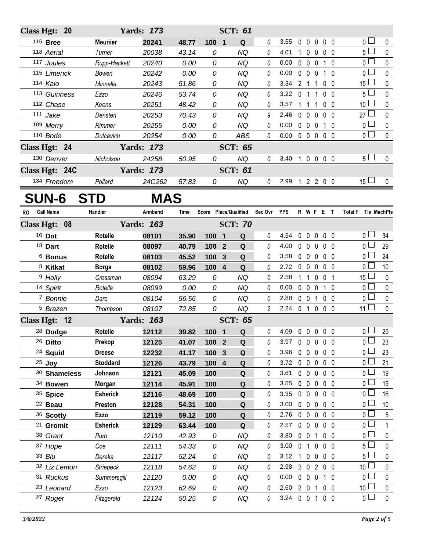| Class Hgt: 20  |                      |                  |                  | <b>Yards: 173</b> |       |               |                         | <b>SCT: 61</b>        |                |                |                |                   |                         |                                 |                     |             |
|----------------|----------------------|------------------|------------------|-------------------|-------|---------------|-------------------------|-----------------------|----------------|----------------|----------------|-------------------|-------------------------|---------------------------------|---------------------|-------------|
|                | 116 Bree             |                  | <b>Meunier</b>   | 20241             | 48.77 | 100 1         |                         | Q                     | 0              | 3.55           |                |                   |                         | 00000                           | 0 <sub>0</sub>      | 0           |
|                | 118 Aerial           |                  | Turner           | 20038             | 43.14 | 0             |                         | <b>NQ</b>             | 0              | 4.01           |                | $100$             |                         | 0 <sub>0</sub>                  | $5\Box$             | $\pmb{0}$   |
|                | 117 Joules           |                  | Rupp-Hackett     | 20240             | 0.00  | 0             |                         | <b>NQ</b>             | 0              | 0.00           |                | $0\quad 0\quad 0$ |                         | $1\quad0$                       | 0 L                 | 0           |
|                | 115 Limerick         |                  | Bowen            | 20242             | 0.00  | 0             |                         | <b>NQ</b>             | 0              | 0.00           |                | $0\quad 0\quad 0$ |                         | $1\quad0$                       | $\overline{0}$      | $\pmb{0}$   |
|                | 114 Kaio             |                  | Minnella         | 20243             | 51.86 | 0             |                         | <b>NQ</b>             | 0              | 3.34           |                | 2 1 1             |                         | 0 <sub>0</sub>                  | $15 \Box$           | 0           |
|                | 113 Guinness         |                  | Ezzo             | 20246             | 53.74 | 0             |                         | <b>NQ</b>             | 0              | 3.22           | 0 <sub>1</sub> |                   | $\overline{1}$          | 0 <sub>0</sub>                  | $5 \Box$            | $\pmb{0}$   |
|                | 112 Chase            |                  | Keens            | 20251             | 48.42 | 0             |                         | <b>NQ</b>             | 0              | 3.57           |                | 1 1 1             |                         | $0\quad 0$                      | 10 <sup>1</sup>     | 0           |
|                | 111 Jake             |                  | Densten          | 20253             | 70.43 | 0             |                         | <b>NQ</b>             | 9              | 2.46           |                | $0\quad 0\quad 0$ |                         | $0\quad 0$                      | $27 \Box$           | $\pmb{0}$   |
|                | 109 Merry            |                  | Rimmer           | 20255             | 0.00  | 0             |                         | <b>NQ</b>             | 0              | 0.00           |                | $0\quad 0\quad 0$ |                         | $1\quad0$                       | $\overline{0}$      | $\pmb{0}$   |
|                | 110 Bode             |                  | Dutcavich        | 20254             | 0.00  | $\mathcal{O}$ |                         | <b>ABS</b>            | 0              | 0.00           |                |                   |                         | $0\quad 0\quad 0\quad 0\quad 0$ | $\overline{0}$      | $\mathbf 0$ |
| Class Hgt: 24  |                      |                  |                  | <b>Yards: 173</b> |       |               |                         | <b>SCT: 65</b>        |                |                |                |                   |                         |                                 |                     |             |
|                | 130 Denver           |                  | Nicholson        | 24258             | 50.95 | 0             |                         | <b>NQ</b>             | 0              | 3.40           | 10000          |                   |                         |                                 | 5 <sub>1</sub>      | $\mathbf 0$ |
| Class Hgt: 24C |                      |                  |                  | <b>Yards: 173</b> |       |               |                         | <b>SCT: 61</b>        |                |                |                |                   |                         |                                 |                     |             |
|                | 134 Freedom          |                  | Pollard          | 24C262            | 57.83 | 0             |                         | NQ                    | 0              | 2.99 1 2 2 0 0 |                |                   |                         |                                 | $15 \Box$           | $\mathbf 0$ |
|                |                      | <b>SUN-6 STD</b> |                  | <b>MAS</b>        |       |               |                         |                       |                |                |                |                   |                         |                                 |                     |             |
| RO.            | <b>Call Name</b>     |                  | Handler          | Armband           | Time  |               |                         | Score Place/Qualified | Sec Ovr YPS    |                |                |                   |                         | R W F E T                       | Total F Tie MachPts |             |
| Class Hgt: 08  |                      |                  |                  | <b>Yards: 163</b> |       |               |                         | <b>SCT: 70</b>        |                |                |                |                   |                         |                                 |                     |             |
|                | $10$ Dot             |                  | <b>Rotelle</b>   | 08101             | 35.90 | 100 1         |                         | Q                     | 0              | 4.54           |                | $0\quad 0$        | $\mathbf 0$             | 0 <sub>0</sub>                  | o L                 | 34          |
|                | <sup>18</sup> Dart   |                  | <b>Rotelle</b>   | 08097             | 40.79 | 100           | $\overline{2}$          | Q                     | 0              | 4.00           |                | 0 <sub>0</sub>    | 0                       | 0 <sub>0</sub>                  | 0 <sub>0</sub>      | 29          |
|                | <sup>6</sup> Bonus   |                  | Rotelle          | 08103             | 45.52 | 100           | 3                       | Q                     | 0              | 3.58           |                | $0\quad 0\quad 0$ |                         | $0\quad 0$                      | 0 L                 | 24          |
|                | <sup>8</sup> Kitkat  |                  | <b>Borga</b>     | 08102             | 59.96 | 100           | $\overline{4}$          | Q                     | 0              | 2.72           |                | $0\quad 0$        | $\overline{\mathbf{0}}$ | 0 <sub>0</sub>                  | 0 <sub>l</sub>      | 10          |
|                | 9 Holly              |                  | Cressman         | 08094             | 63.29 | 0             |                         | <b>NQ</b>             | 0              | 2.58           |                | 1 1               | $\mathbf 0$             | 0 <sub>1</sub>                  | $15 -$              | 0           |
|                | 14 Spirit            |                  | Rotelle          | 08099             | 0.00  | 0             |                         | <b>NQ</b>             | 0              | 0.00           |                | 0 <sub>0</sub>    | $\mathbf 0$             | 1 0                             | $\overline{0}$      | $\mathbf 0$ |
|                | 7 Bonnie             |                  | Dare             | 08104             | 56.56 | 0             |                         | <b>NQ</b>             | 0              | 2.88           |                |                   |                         | 0 0 1 0 0                       | 0 <sub>0</sub>      | $\pmb{0}$   |
|                | <sup>5</sup> Brazen  |                  | Thompson         | 08107             | 72.85 | 0             |                         | <b>NQ</b>             | $\overline{2}$ | 2.24           |                |                   |                         | 0 1 0 0 0                       | 11 $\Box$           | $\mathbf 0$ |
| Class Hgt: 12  |                      |                  |                  | <b>Yards: 163</b> |       |               |                         | <b>SCT: 65</b>        |                |                |                |                   |                         |                                 |                     |             |
|                | 28 Dodge             |                  | Rotelle          | 12112             | 39.82 | 100 1         |                         | $\mathbf Q$           | $\theta$       | 4.09           | $0\quad 0$     |                   | $\mathbf 0$             | $0\quad 0$                      | $\overline{0}$      | 25          |
|                | 26 Ditto             |                  | Prekop           | 12125             | 41.07 | 100           | $\overline{\mathbf{2}}$ | Q                     | 0              | 3.97           |                | $0\quad 0$        | $\pmb{0}$               | $0\quad 0$                      | 0 L                 | 23          |
|                | <sup>24</sup> Squid  |                  | <b>Dreese</b>    | 12232             | 41.17 | 100           | $\mathbf{3}$            | $\mathbf Q$           | 0              | 3.96           |                | $0\quad 0$        | $\pmb{0}$               | $0\quad 0$                      | 0 L                 | 23          |
|                | $25$ Joy             |                  | <b>Stoddard</b>  | 12126             | 43.79 | 100           | $\overline{4}$          | Q                     | 0              | 3.72           |                | $0\quad 0$        | $\mathbf 0$             | $0\quad 0$                      | 0 l                 | 21          |
|                |                      | 30 Shameless     | Johnson          | 12121             | 45.09 | 100           |                         | $\mathbf Q$           | 0              | 3.61           |                | $0\quad 0$        | $\mathbf 0$             | $0\quad 0$                      | 0 l                 | 19          |
|                | 34 Bowen             |                  | Morgan           | 12114             | 45.91 | 100           |                         | Q                     | 0              | 3.55           |                | $0\quad 0$        | $\mathbf 0$             | $0\quad 0$                      | 0 l                 | 19          |
|                | 35 Spice             |                  | <b>Esherick</b>  | 12116             | 48.69 | 100           |                         | $\mathbf Q$           | 0              | 3.35           |                | $0\quad 0$        | $\mathbf 0$             | $0\quad 0$                      | 0 L                 | 16          |
|                | <sup>22</sup> Beau   |                  | Preston          | 12128             | 54.31 | 100           |                         | Q                     | 0              | 3.00           |                | $0\quad 0$        | $\mathbf 0$             | $0\quad 0$                      | 0 l                 | 10          |
|                | 36 Scotty            |                  | <b>Ezzo</b>      | 12119             | 59.12 | 100           |                         | $\mathbf Q$           | 0              | 2.76           |                | $0\quad 0$        | $\pmb{0}$               | $0\quad 0$                      | 0 L                 | 5           |
|                | <sup>21</sup> Gromit |                  | <b>Esherick</b>  | 12129             | 63.44 | 100           |                         | Q                     | 0              | 2.57           |                | $0\quad 0$        | $\mathbf 0$             | $0\quad 0$                      | $\overline{0}$      | 1           |
|                | 38 Grant             |                  | Puro             | 12110             | 42.93 | 0             |                         | <b>NQ</b>             | 0              | 3.80           | $0\quad 0$     |                   | $\overline{1}$          | $0\quad 0$                      | 0 l                 | 0           |
|                | 37 Hope              |                  | Coe              | 12111             | 54.33 | 0             |                         | NQ                    | 0              | 3.00           | $\mathsf{O}$   | $\mathbf{1}$      | $\mathbf 0$             | $0\quad 0$                      | 5 I                 | 0           |
|                | 33 Blu               |                  | Dereka           | 12117             | 52.24 | 0             |                         | <b>NQ</b>             | 0              | 3.12           |                | $1\quad 0$        | $\pmb{0}$               | $0\quad 0$                      | ا 5                 | $\pmb{0}$   |
|                | 32 Liz Lemon         |                  | <b>Striepeck</b> | 12118             | 54.62 | 0             |                         | <b>NQ</b>             | 0              | 2.98           |                | $2\quad0$         | $\overline{2}$          | $0\quad 0$                      | 10 <sup>1</sup>     | 0           |
|                | 31 Ruckus            |                  | Summersgill      | 12120             | 0.00  | 0             |                         | NQ                    | 0              | 0.00           |                | $0\quad 0$        | $\pmb{0}$               | 1 <sub>0</sub>                  | 0 l                 | 0           |
|                | 23 Leonard           |                  | <b>Ezzo</b>      | 12123             | 62.69 | 0             |                         | NQ                    | 0              | 2.60           |                | $2\quad 0$        | $\overline{1}$          | $0\quad 0$                      | 10 <sup>1</sup>     | 0           |
|                | 27 Roger             |                  | Fitzgerald       | 12124             | 50.25 | 0             |                         | NQ                    | 0              | 3.24           |                | $0 \t0 \t1$       |                         | $0\quad 0$                      | 0 <sub>0</sub>      | $\pmb{0}$   |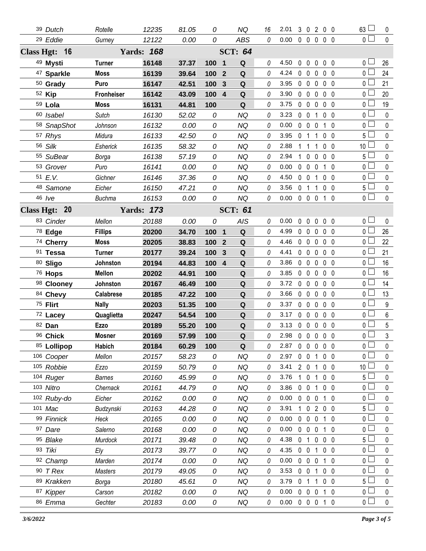| 39 Dutch              | Rotelle           | 12235             | 81.05 | 0              |                         | <b>NQ</b>   | 16       | 2.01           |                |                   |                | 3 0 2 0 0      | 63L             | 0              |
|-----------------------|-------------------|-------------------|-------|----------------|-------------------------|-------------|----------|----------------|----------------|-------------------|----------------|----------------|-----------------|----------------|
| 29 Eddie              | Gurney            | 12122             | 0.00  | 0              |                         | <b>ABS</b>  | $\theta$ | 0.00           |                |                   |                | $00000$        | 0 <sup>1</sup>  | $\mathbf 0$    |
| Class Hgt: 16         | <b>Yards: 168</b> |                   |       | <b>SCT: 64</b> |                         |             |          |                |                |                   |                |                |                 |                |
| 49 Mysti              | <b>Turner</b>     | 16148             | 37.37 | 100 1          |                         | Q           | 0        | 4.50           |                |                   |                | 00000          | 0 <sub>0</sub>  | 26             |
| <sup>47</sup> Sparkle | <b>Moss</b>       | 16139             | 39.64 | 100            | $\overline{2}$          | Q           | 0        | 4.24           |                |                   |                | 00000          | 0 <sup>1</sup>  | 24             |
| 50 Grady              | Puro              | 16147             | 42.51 | 100            | 3                       | Q           | 0        | 3.95           |                | $0\quad 0\quad 0$ |                | 0 <sub>0</sub> | 0 l             | 21             |
| 52 Kip                | Fronheiser        | 16142             | 43.09 | 100 4          |                         | $\mathbf Q$ | 0        | 3.90           |                | $0\quad 0\quad 0$ |                | $0\quad 0$     | 0 <sup>1</sup>  | 20             |
| 59 Lola               | Moss              | 16131             | 44.81 | 100            |                         | $\mathbf Q$ | 0        | 3.75           |                | $0\quad 0\quad 0$ |                | 0 <sub>0</sub> | 0 L             | 19             |
| 60 Isabel             | <b>Sutch</b>      | 16130             | 52.02 | 0              |                         | NQ          | 0        | 3.23           |                | $0\quad 0$        | $\mathbf{1}$   | 0 <sub>0</sub> | 0 <sup>1</sup>  | $\pmb{0}$      |
| 58 SnapShot           | Johnson           | 16132             | 0.00  | 0              |                         | <b>NQ</b>   | 0        | 0.00           |                | $0\quad 0\quad 0$ |                | 1 0            | 0 <sup>1</sup>  | $\pmb{0}$      |
| 57 Rhys               | Midura            | 16133             | 42.50 | 0              |                         | <b>NQ</b>   | 0        | 3.95           | 0 <sub>1</sub> |                   | $\mathbf{1}$   | 0 <sub>0</sub> | 5 <sub>1</sub>  | $\pmb{0}$      |
| 56 Silk               | Esherick          | 16135             | 58.32 | 0              |                         | <b>NQ</b>   | 0        | 2.88           | $1\quad1$      |                   | 1              | $0\quad 0$     | 10 <sup>L</sup> | 0              |
| 55 SuBear             | Borga             | 16138             | 57.19 | 0              |                         | <b>NQ</b>   | 0        | 2.94           |                |                   |                | 10000          | 5 <sup>L</sup>  | $\pmb{0}$      |
| 53 Grover             | Puro              | 16141             | 0.00  | 0              |                         | NQ          | 0        | 0.00           |                | $0\quad 0\quad 0$ |                | 10             | 0 l             | 0              |
| 51 E.V.               | Gichner           | 16146             | 37.36 | 0              |                         | <b>NQ</b>   | 0        | 4.50           |                | 0 0 1             |                | 0 <sub>0</sub> | 0 <sup>1</sup>  | 0              |
| 48 Samone             | Eicher            | 16150             | 47.21 | 0              |                         | <b>NQ</b>   | 0        | 3.56           | 0 <sub>1</sub> |                   | 1              | 0 <sub>0</sub> | 5 l             | 0              |
| 46 /ve                | <b>Buchma</b>     | 16153             | 0.00  | 0              |                         | <b>NQ</b>   | 0        | 0.00           |                |                   |                | 0 0 0 1 0      | 0 <sup>1</sup>  | $\mathbf 0$    |
| Class Hgt: 20         |                   | <b>Yards: 173</b> |       |                | <b>SCT: 61</b>          |             |          |                |                |                   |                |                |                 |                |
| 83 Cinder             | Mellon            | 20188             | 0.00  | 0              |                         | AIS         | 0        | 0.00           |                |                   |                | 00000          | 0 <sub>0</sub>  | 0              |
| 78 Edge               | <b>Fillips</b>    | 20200             | 34.70 | 100 1          |                         | $\mathbf Q$ | 0        | 4.99           |                |                   |                | 00000          | 0 <sup>1</sup>  | 26             |
| 74 Cherry             | <b>Moss</b>       | 20205             | 38.83 | 100            | $\mathbf{2}$            | Q           | 0        | 4.46           |                |                   |                | 00000          | 0 l             | 22             |
| 91 Tessa              | <b>Turner</b>     | 20177             | 39.24 | 100            | $\mathbf{3}$            | Q           | 0        | 4.41           |                | $0\quad 0\quad 0$ |                | 0 <sub>0</sub> | 0 L             | 21             |
| 80 Sligo              | Johnston          | 20194             | 44.83 | 100            | $\overline{\mathbf{4}}$ | Q           | 0        | 3.86           |                | $0\quad 0$        | $\mathbf{0}$   | $0\quad 0$     | 0 <sup>1</sup>  | 16             |
| 76 Hops               | <b>Mellon</b>     | 20202             | 44.91 | 100            |                         | Q           | 0        | 3.85           |                |                   |                | 00000          | 0 L             | 16             |
| 98 Clooney            | Johnston          | 20167             | 46.49 | 100            |                         | Q           | 0        | 3.72           | $0\quad 0$     |                   | $\mathbf 0$    | $0\quad 0$     | 0 l             | 14             |
| 84 Chevy              | <b>Calabrese</b>  | 20185             | 47.22 | 100            |                         | Q           | 0        | 3.66           |                | $0\quad 0\quad 0$ |                | 0 <sub>0</sub> | 0 <sub>0</sub>  | 13             |
| 75 Flirt              | <b>Nally</b>      | 20203             | 51.35 | 100            |                         | Q           | 0        | 3.37           |                | $0\quad 0\quad 0$ |                | $0\quad 0$     | 0 <sub>0</sub>  | 9              |
| 72 Lacey              | Quaglietta        | 20247             | 54.54 | 100            |                         | $\mathbf Q$ | 0        | 3.17           |                |                   |                | 00000          | 0 <sup>1</sup>  | $\,6\,$        |
| 82 Dan                | <b>Ezzo</b>       | 20189             | 55.20 | 100            |                         | $\mathbf Q$ | 0        | 3.13 0 0 0 0 0 |                |                   |                |                | 0 <sup>1</sup>  | $5\,$          |
| 96 Chick              | <b>Mosner</b>     | 20169             | 57.99 | 100            |                         | $\mathbf Q$ | 0        | 2.98 0 0 0 0 0 |                |                   |                |                | 0 <sub>1</sub>  | $\mathfrak{Z}$ |
| 85 Lollipop           | Habich            | 20184             | 60.29 | 100            |                         | Q           | 0        | 2.87           | $0\quad 0$     |                   | $\mathbf{0}$   | 0 <sub>0</sub> | 0 <sup>1</sup>  | 0              |
| 106 Cooper            | Mellon            | 20157             | 58.23 | 0              |                         | NQ          | 0        | 2.97           |                | $0 \t0 \t1$       |                | $0\quad 0$     | 0 l             | 0              |
| 105 Robbie            | Ezzo              | 20159             | 50.79 | 0              |                         | NQ          | 0        | 3.41           |                | $2\quad0$         | 1              | 0 <sub>0</sub> | 10 <sup>1</sup> | 0              |
| 104 Ruger             | <b>Barnes</b>     | 20160             | 45.99 | 0              |                         | <b>NQ</b>   | 0        | 3.76           | $\mathbf{1}$   | $\mathbf 0$       | $\overline{1}$ | $0\quad 0$     | 5 l             | 0              |
| 103 Nitro             | Chernack          | 20161             | 44.79 | 0              |                         | <b>NQ</b>   | 0        | 3.86           | $0\quad 0$     |                   | $\mathbf{1}$   | 0 <sub>0</sub> | 0 l             | 0              |
| 102 Ruby-do           | Eicher            | 20162             | 0.00  | 0              |                         | <b>NQ</b>   | 0        | 0.00           |                | $0\quad 0\quad 0$ |                | $1\quad 0$     | 0 l             | 0              |
| 101 Mac               | Budzynski         | 20163             | 44.28 | 0              |                         | ΝQ          | 0        | 3.91           | 1.             | $\mathbf{0}$      |                | 2 0 0          | 5 <sup>1</sup>  | 0              |
| 99 Finnick            | Heck              | 20165             | 0.00  | 0              |                         | <b>NQ</b>   | 0        | 0.00           | $\mathbf 0$    | $0\quad 0$        |                | 1 0            | 0 L             | 0              |
| 97 Dare               | Salerno           | 20168             | 0.00  | 0              |                         | <b>NQ</b>   | 0        | 0.00           |                | $0\quad 0$        | 0              | 10             | 0 l             | 0              |
| 95 Blake              | Murdock           | 20171             | 39.48 | 0              |                         | NQ          | 0        | 4.38           | 0 <sub>1</sub> |                   | $\mathbf 0$    | 0 <sub>0</sub> | 5 l             | 0              |
| 93 Tiki               | Ely               | 20173             | 39.77 | 0              |                         | NQ          | 0        | 4.35           | $0\quad 0$     |                   | 1              | 0 <sub>0</sub> | 0 <sub>0</sub>  | 0              |
| 92 Champ              | Marden            | 20174             | 0.00  | 0              |                         | <b>NQ</b>   | 0        | 0.00           | $\mathbf 0$    | $0\quad 0$        |                | 1 0            | 0 <sub>0</sub>  | 0              |
| 90 T Rex              | Masters           | 20179             | 49.05 | 0              |                         | ΝQ          | 0        | 3.53           | $0\quad 0$     |                   | 1              | 0 <sub>0</sub> | 0 l             | 0              |
| 89 Krakken            | Borga             | 20180             | 45.61 | 0              |                         | NQ          | 0        | 3.79           | 0 <sub>1</sub> |                   | 1              | 0 <sub>0</sub> | 5 <sup>1</sup>  | 0              |
| 87 Kipper             | Carson            | 20182             | 0.00  | 0              |                         | NQ          | 0        | 0.00           |                | $0\quad 0$        | 0              | 10             | 0 l             | 0              |
| 86 Emma               | Gechter           | 20183             | 0.00  | 0              |                         | NQ          | 0        | 0.00           |                | $0\quad 0\quad 0$ |                | 1 0            | $0-$            | 0              |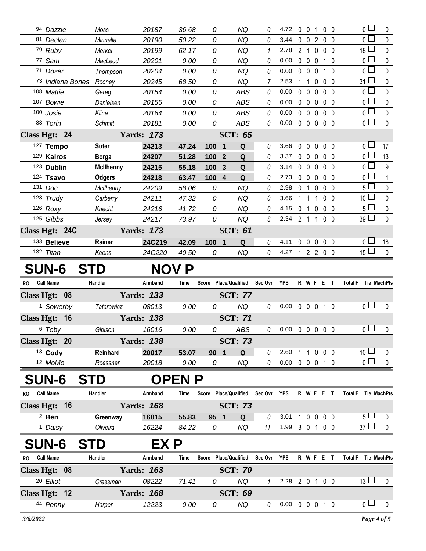| 0 <sub>1</sub><br>94 Dazzle<br>20187<br>36.68<br>NQ<br>$\mathbf 0$<br>$0\quad 0$<br>Moss<br>0<br>4.72<br>0<br>$\mathbf{1}$<br>0<br>0 <sup>1</sup><br><b>NQ</b><br>81 Declan<br>Minnella<br>20190<br>50.22<br>0<br>0<br>3.44<br>0<br>2<br>$\mathbf{0}$<br>0 <sub>0</sub><br>$18\perp$<br>79 Ruby<br><b>NQ</b><br>1<br>2 <sub>1</sub><br>$0\quad 0$<br>Merkel<br>20199<br>62.17<br>0<br>2.78<br>0<br>0 <sup>2</sup><br>77 Sam<br><b>NQ</b><br>0.00<br>$0\quad 0$<br>$\mathbf 0$<br>MacLeod<br>20201<br>0.00<br>0<br>0<br>$1\quad0$<br>0 l<br>71 Dozer<br>20204<br>0.00<br>0<br><b>NQ</b><br>0<br>0.00<br>$\mathbf 0$<br>$\mathbf 0$<br>Thompson<br>0<br>$1\quad0$<br>0<br><b>NQ</b><br>2.53<br>$31 -$<br><sup>73</sup> Indiana Bones<br>20245<br>68.50<br>7<br>$\mathbf{1}$<br>0<br>$0\quad 0$<br>Rooney<br>0.00<br>0 <sub>0</sub><br>108 Mattie<br>0.00<br>0<br><b>ABS</b><br>0<br>$\mathbf 0$<br>$\mathbf 0$<br>0 <sub>0</sub><br>Gereg<br>20154<br>$\mathbf{0}$<br>0.00<br>0 <sup>1</sup><br>107 Bowie<br>0<br><b>ABS</b><br>$0\quad 0$<br>$\mathbf 0$<br>$0\quad 0$<br>Danielsen<br>20155<br>0.00<br>0<br>100 Josie<br><b>ABS</b><br>0.00<br>$\mathbf 0$<br>$0-$<br>Kline<br>20164<br>0.00<br>0<br>0<br>$\mathbf 0$<br>$\mathbf 0$<br>$0\quad 0$<br>0 <sub>1</sub><br>0.00<br>88 Torin<br>0<br><b>ABS</b><br>0<br>$\mathbf 0$<br>$\mathbf 0$<br>$\mathbf 0$<br><b>Schmitt</b><br>20181<br>0.00<br>$0\quad 0$<br><b>SCT: 65</b><br>Class Hgt: 24<br><b>Yards: 173</b><br>127 Tempo<br><b>Suter</b><br>24213<br>$\mathbf Q$<br>0<br>3.66<br>$0\quad 0$<br>0 <sub>0</sub><br>47.24<br>100<br>$\mathbf{0}$<br>$\mathbf{0}$<br>0<br>$\overline{\mathbf{1}}$<br>129 Kairos<br>$0-$<br>24207<br>51.28<br>$\mathbf Q$<br>3.37<br>$\mathbf 0$<br><b>Borga</b><br>100<br>$\overline{2}$<br>0<br>$\mathbf{0}$<br>$\mathbf{0}$<br>$0\quad 0$<br>0 l<br>123 Dublin<br><b>McIlhenny</b><br>Q<br>3.14<br>0<br>0 <sub>0</sub><br>24215<br>55.18<br>100<br>$\mathbf{3}$<br>0<br>$\mathbf{0}$<br>$\mathbf 0$<br>0 <sup>2</sup><br>124 Tsavo<br>Q<br><b>Odgers</b><br>24218<br>63.47<br>100 4<br>2.73<br>0<br>$\overline{0}$<br>$\mathbf{0}$<br>$0\quad 0$<br>0<br>131 Doc<br><b>NQ</b><br>5 l<br>24209<br>58.06<br>0<br>2.98<br>0<br>McIlhenny<br>0<br>0<br>$0\quad 0$<br>1<br>10 <sup>1</sup><br>128 Trudy<br><b>NQ</b><br>0<br>3.66<br>24211<br>47.32<br>0<br>1<br>$\mathbf{1}$<br>$0\quad 0$<br>Carberry<br>1<br>5 <sup>1</sup><br>126 Roxy<br>41.72<br><b>NQ</b><br>24216<br>0<br>0<br>4.15<br>$\mathbf 0$<br>0 <sub>0</sub><br>Knecht<br>$\overline{1}$<br>0<br>125 Gibbs<br>$39 -$<br>0<br><b>NQ</b><br>8<br>$2.34$ 2 1<br>24217<br>73.97<br>100<br>Jersey<br>Class Hgt: 24C<br><b>Yards: 173</b><br><b>SCT: 61</b><br>133 Believe<br>Rainer<br>0<br>$\mathbf 0$<br>0 <sub>0</sub><br>0 I<br>24C219<br>42.09<br>100<br>${\bf Q}$<br>4.11<br>$\mathbf 0$<br>0<br>$\overline{\mathbf{1}}$<br>15 <sup>L</sup><br>0<br>132 Titan<br>24C220<br><b>NQ</b><br>4.27<br>1 2 2 0 0<br>Keens<br>40.50<br>0<br><b>SUN-6</b><br><b>STD</b><br><b>NOV P</b><br>Handler<br>R W F E T<br><b>Call Name</b><br>Score Place/Qualified<br>Sec Ovr YPS<br>Total F Tie MachPts<br><b>RO</b><br>Armband<br>Time<br>Class Hgt: 08<br><b>Yards: 133</b><br><b>SCT: 77</b><br>0 <sub>0</sub><br><sup>1</sup> Sowerby<br>08013<br><b>NQ</b><br>0.00<br>$\mathbf 0$<br><b>Tatarowicz</b><br>0<br>0<br>$0\quad 0$<br>$1\quad0$<br>0.00<br><b>Yards: 138</b><br><b>SCT: 71</b><br>Class Hgt: 16<br>0 <sub>1</sub><br>0.00<br><b>ABS</b><br>0.00<br>6 Toby<br>Gibison<br>16016<br>0<br>0<br>$\mathbf 0$<br>$\mathbf 0$<br>$\mathbf 0$<br>$0\quad 0$<br><b>Yards: 138</b><br><b>SCT: 73</b><br>Class Hgt: 20<br><sup>13</sup> Cody<br>Reinhard<br>1 1 0 0 0<br>20017<br>2.60<br>53.07<br>90 <sub>1</sub><br>Q<br>0<br>12 MoMo<br>0<br>0.00<br>0 0 0 1 0<br>20018<br>0.00<br><b>NQ</b><br>Roessner<br>0<br><b>SUN-6</b><br><b>STD</b><br><b>OPEN P</b><br>RO Call Name<br>Handler<br>Score Place/Qualified<br>Armband<br>Sec Ovr<br><b>YPS</b><br>R W F E T<br>Total F Tie MachPts<br>Time<br>Class Hgt: 16<br><b>Yards: 168</b><br><b>SCT: 73</b><br>$2$ Ben<br>0 0 0 0<br>5 <sub>1</sub><br>Greenway<br>16015<br>55.83<br>$\mathbf Q$<br>0<br>3.01<br>95 1<br>$\mathbf{1}$<br>1.99 3 0 1 0 0<br><sup>1</sup> Daisy<br>Oliveira<br>16224<br>84.22<br><b>NQ</b><br>11<br>0<br><b>SUN-6</b><br><b>STD</b><br>EX P<br><b>Call Name</b><br>Score Place/Qualified<br>Handler<br>Armband<br>Sec Ovr YPS<br><b>R W F E T</b><br><b>RO</b><br>Time<br><b>Yards: 163</b><br>Class Hgt: 08<br><b>SCT: 70</b><br>20 Elliot<br><b>NQ</b><br>08222<br>2.28 2 0 1 0 0<br>Cressman<br>71.41<br>0<br>$\mathcal I$<br>Class Hgt: 12<br><b>Yards: 168</b><br><b>SCT: 69</b> |  |  |  |  |  |  |  |  |  |                     |              |
|-----------------------------------------------------------------------------------------------------------------------------------------------------------------------------------------------------------------------------------------------------------------------------------------------------------------------------------------------------------------------------------------------------------------------------------------------------------------------------------------------------------------------------------------------------------------------------------------------------------------------------------------------------------------------------------------------------------------------------------------------------------------------------------------------------------------------------------------------------------------------------------------------------------------------------------------------------------------------------------------------------------------------------------------------------------------------------------------------------------------------------------------------------------------------------------------------------------------------------------------------------------------------------------------------------------------------------------------------------------------------------------------------------------------------------------------------------------------------------------------------------------------------------------------------------------------------------------------------------------------------------------------------------------------------------------------------------------------------------------------------------------------------------------------------------------------------------------------------------------------------------------------------------------------------------------------------------------------------------------------------------------------------------------------------------------------------------------------------------------------------------------------------------------------------------------------------------------------------------------------------------------------------------------------------------------------------------------------------------------------------------------------------------------------------------------------------------------------------------------------------------------------------------------------------------------------------------------------------------------------------------------------------------------------------------------------------------------------------------------------------------------------------------------------------------------------------------------------------------------------------------------------------------------------------------------------------------------------------------------------------------------------------------------------------------------------------------------------------------------------------------------------------------------------------------------------------------------------------------------------------------------------------------------------------------------------------------------------------------------------------------------------------------------------------------------------------------------------------------------------------------------------------------------------------------------------------------------------------------------------------------------------------------------------------------------------------------------------------------------------------------------------------------------------------------------------------------------------------------------------------------------------------------------------------------------------------------------------------------------------------------------------------------------------------------------------------------------------------------------------------------------------------------------------------------------------------------------------------------------------------------------------------------------------------------------------------------------------------------------------------------------------------------------------------------------------------------------------------------------------------------------------------------------------------------------------------------------------------------------------------------------------------------------------------------------------------------------------|--|--|--|--|--|--|--|--|--|---------------------|--------------|
|                                                                                                                                                                                                                                                                                                                                                                                                                                                                                                                                                                                                                                                                                                                                                                                                                                                                                                                                                                                                                                                                                                                                                                                                                                                                                                                                                                                                                                                                                                                                                                                                                                                                                                                                                                                                                                                                                                                                                                                                                                                                                                                                                                                                                                                                                                                                                                                                                                                                                                                                                                                                                                                                                                                                                                                                                                                                                                                                                                                                                                                                                                                                                                                                                                                                                                                                                                                                                                                                                                                                                                                                                                                                                                                                                                                                                                                                                                                                                                                                                                                                                                                                                                                                                                                                                                                                                                                                                                                                                                                                                                                                                                                                                                                 |  |  |  |  |  |  |  |  |  |                     | 0            |
|                                                                                                                                                                                                                                                                                                                                                                                                                                                                                                                                                                                                                                                                                                                                                                                                                                                                                                                                                                                                                                                                                                                                                                                                                                                                                                                                                                                                                                                                                                                                                                                                                                                                                                                                                                                                                                                                                                                                                                                                                                                                                                                                                                                                                                                                                                                                                                                                                                                                                                                                                                                                                                                                                                                                                                                                                                                                                                                                                                                                                                                                                                                                                                                                                                                                                                                                                                                                                                                                                                                                                                                                                                                                                                                                                                                                                                                                                                                                                                                                                                                                                                                                                                                                                                                                                                                                                                                                                                                                                                                                                                                                                                                                                                                 |  |  |  |  |  |  |  |  |  |                     | 0            |
|                                                                                                                                                                                                                                                                                                                                                                                                                                                                                                                                                                                                                                                                                                                                                                                                                                                                                                                                                                                                                                                                                                                                                                                                                                                                                                                                                                                                                                                                                                                                                                                                                                                                                                                                                                                                                                                                                                                                                                                                                                                                                                                                                                                                                                                                                                                                                                                                                                                                                                                                                                                                                                                                                                                                                                                                                                                                                                                                                                                                                                                                                                                                                                                                                                                                                                                                                                                                                                                                                                                                                                                                                                                                                                                                                                                                                                                                                                                                                                                                                                                                                                                                                                                                                                                                                                                                                                                                                                                                                                                                                                                                                                                                                                                 |  |  |  |  |  |  |  |  |  |                     | $\mathbf{0}$ |
|                                                                                                                                                                                                                                                                                                                                                                                                                                                                                                                                                                                                                                                                                                                                                                                                                                                                                                                                                                                                                                                                                                                                                                                                                                                                                                                                                                                                                                                                                                                                                                                                                                                                                                                                                                                                                                                                                                                                                                                                                                                                                                                                                                                                                                                                                                                                                                                                                                                                                                                                                                                                                                                                                                                                                                                                                                                                                                                                                                                                                                                                                                                                                                                                                                                                                                                                                                                                                                                                                                                                                                                                                                                                                                                                                                                                                                                                                                                                                                                                                                                                                                                                                                                                                                                                                                                                                                                                                                                                                                                                                                                                                                                                                                                 |  |  |  |  |  |  |  |  |  |                     | $\mathbf{0}$ |
|                                                                                                                                                                                                                                                                                                                                                                                                                                                                                                                                                                                                                                                                                                                                                                                                                                                                                                                                                                                                                                                                                                                                                                                                                                                                                                                                                                                                                                                                                                                                                                                                                                                                                                                                                                                                                                                                                                                                                                                                                                                                                                                                                                                                                                                                                                                                                                                                                                                                                                                                                                                                                                                                                                                                                                                                                                                                                                                                                                                                                                                                                                                                                                                                                                                                                                                                                                                                                                                                                                                                                                                                                                                                                                                                                                                                                                                                                                                                                                                                                                                                                                                                                                                                                                                                                                                                                                                                                                                                                                                                                                                                                                                                                                                 |  |  |  |  |  |  |  |  |  |                     | 0            |
|                                                                                                                                                                                                                                                                                                                                                                                                                                                                                                                                                                                                                                                                                                                                                                                                                                                                                                                                                                                                                                                                                                                                                                                                                                                                                                                                                                                                                                                                                                                                                                                                                                                                                                                                                                                                                                                                                                                                                                                                                                                                                                                                                                                                                                                                                                                                                                                                                                                                                                                                                                                                                                                                                                                                                                                                                                                                                                                                                                                                                                                                                                                                                                                                                                                                                                                                                                                                                                                                                                                                                                                                                                                                                                                                                                                                                                                                                                                                                                                                                                                                                                                                                                                                                                                                                                                                                                                                                                                                                                                                                                                                                                                                                                                 |  |  |  |  |  |  |  |  |  |                     | 0            |
|                                                                                                                                                                                                                                                                                                                                                                                                                                                                                                                                                                                                                                                                                                                                                                                                                                                                                                                                                                                                                                                                                                                                                                                                                                                                                                                                                                                                                                                                                                                                                                                                                                                                                                                                                                                                                                                                                                                                                                                                                                                                                                                                                                                                                                                                                                                                                                                                                                                                                                                                                                                                                                                                                                                                                                                                                                                                                                                                                                                                                                                                                                                                                                                                                                                                                                                                                                                                                                                                                                                                                                                                                                                                                                                                                                                                                                                                                                                                                                                                                                                                                                                                                                                                                                                                                                                                                                                                                                                                                                                                                                                                                                                                                                                 |  |  |  |  |  |  |  |  |  |                     | $\mathbf 0$  |
|                                                                                                                                                                                                                                                                                                                                                                                                                                                                                                                                                                                                                                                                                                                                                                                                                                                                                                                                                                                                                                                                                                                                                                                                                                                                                                                                                                                                                                                                                                                                                                                                                                                                                                                                                                                                                                                                                                                                                                                                                                                                                                                                                                                                                                                                                                                                                                                                                                                                                                                                                                                                                                                                                                                                                                                                                                                                                                                                                                                                                                                                                                                                                                                                                                                                                                                                                                                                                                                                                                                                                                                                                                                                                                                                                                                                                                                                                                                                                                                                                                                                                                                                                                                                                                                                                                                                                                                                                                                                                                                                                                                                                                                                                                                 |  |  |  |  |  |  |  |  |  |                     | 0            |
|                                                                                                                                                                                                                                                                                                                                                                                                                                                                                                                                                                                                                                                                                                                                                                                                                                                                                                                                                                                                                                                                                                                                                                                                                                                                                                                                                                                                                                                                                                                                                                                                                                                                                                                                                                                                                                                                                                                                                                                                                                                                                                                                                                                                                                                                                                                                                                                                                                                                                                                                                                                                                                                                                                                                                                                                                                                                                                                                                                                                                                                                                                                                                                                                                                                                                                                                                                                                                                                                                                                                                                                                                                                                                                                                                                                                                                                                                                                                                                                                                                                                                                                                                                                                                                                                                                                                                                                                                                                                                                                                                                                                                                                                                                                 |  |  |  |  |  |  |  |  |  |                     | $\pmb{0}$    |
|                                                                                                                                                                                                                                                                                                                                                                                                                                                                                                                                                                                                                                                                                                                                                                                                                                                                                                                                                                                                                                                                                                                                                                                                                                                                                                                                                                                                                                                                                                                                                                                                                                                                                                                                                                                                                                                                                                                                                                                                                                                                                                                                                                                                                                                                                                                                                                                                                                                                                                                                                                                                                                                                                                                                                                                                                                                                                                                                                                                                                                                                                                                                                                                                                                                                                                                                                                                                                                                                                                                                                                                                                                                                                                                                                                                                                                                                                                                                                                                                                                                                                                                                                                                                                                                                                                                                                                                                                                                                                                                                                                                                                                                                                                                 |  |  |  |  |  |  |  |  |  |                     | 0            |
|                                                                                                                                                                                                                                                                                                                                                                                                                                                                                                                                                                                                                                                                                                                                                                                                                                                                                                                                                                                                                                                                                                                                                                                                                                                                                                                                                                                                                                                                                                                                                                                                                                                                                                                                                                                                                                                                                                                                                                                                                                                                                                                                                                                                                                                                                                                                                                                                                                                                                                                                                                                                                                                                                                                                                                                                                                                                                                                                                                                                                                                                                                                                                                                                                                                                                                                                                                                                                                                                                                                                                                                                                                                                                                                                                                                                                                                                                                                                                                                                                                                                                                                                                                                                                                                                                                                                                                                                                                                                                                                                                                                                                                                                                                                 |  |  |  |  |  |  |  |  |  |                     |              |
|                                                                                                                                                                                                                                                                                                                                                                                                                                                                                                                                                                                                                                                                                                                                                                                                                                                                                                                                                                                                                                                                                                                                                                                                                                                                                                                                                                                                                                                                                                                                                                                                                                                                                                                                                                                                                                                                                                                                                                                                                                                                                                                                                                                                                                                                                                                                                                                                                                                                                                                                                                                                                                                                                                                                                                                                                                                                                                                                                                                                                                                                                                                                                                                                                                                                                                                                                                                                                                                                                                                                                                                                                                                                                                                                                                                                                                                                                                                                                                                                                                                                                                                                                                                                                                                                                                                                                                                                                                                                                                                                                                                                                                                                                                                 |  |  |  |  |  |  |  |  |  |                     | 17           |
|                                                                                                                                                                                                                                                                                                                                                                                                                                                                                                                                                                                                                                                                                                                                                                                                                                                                                                                                                                                                                                                                                                                                                                                                                                                                                                                                                                                                                                                                                                                                                                                                                                                                                                                                                                                                                                                                                                                                                                                                                                                                                                                                                                                                                                                                                                                                                                                                                                                                                                                                                                                                                                                                                                                                                                                                                                                                                                                                                                                                                                                                                                                                                                                                                                                                                                                                                                                                                                                                                                                                                                                                                                                                                                                                                                                                                                                                                                                                                                                                                                                                                                                                                                                                                                                                                                                                                                                                                                                                                                                                                                                                                                                                                                                 |  |  |  |  |  |  |  |  |  |                     | 13           |
|                                                                                                                                                                                                                                                                                                                                                                                                                                                                                                                                                                                                                                                                                                                                                                                                                                                                                                                                                                                                                                                                                                                                                                                                                                                                                                                                                                                                                                                                                                                                                                                                                                                                                                                                                                                                                                                                                                                                                                                                                                                                                                                                                                                                                                                                                                                                                                                                                                                                                                                                                                                                                                                                                                                                                                                                                                                                                                                                                                                                                                                                                                                                                                                                                                                                                                                                                                                                                                                                                                                                                                                                                                                                                                                                                                                                                                                                                                                                                                                                                                                                                                                                                                                                                                                                                                                                                                                                                                                                                                                                                                                                                                                                                                                 |  |  |  |  |  |  |  |  |  |                     | 9            |
|                                                                                                                                                                                                                                                                                                                                                                                                                                                                                                                                                                                                                                                                                                                                                                                                                                                                                                                                                                                                                                                                                                                                                                                                                                                                                                                                                                                                                                                                                                                                                                                                                                                                                                                                                                                                                                                                                                                                                                                                                                                                                                                                                                                                                                                                                                                                                                                                                                                                                                                                                                                                                                                                                                                                                                                                                                                                                                                                                                                                                                                                                                                                                                                                                                                                                                                                                                                                                                                                                                                                                                                                                                                                                                                                                                                                                                                                                                                                                                                                                                                                                                                                                                                                                                                                                                                                                                                                                                                                                                                                                                                                                                                                                                                 |  |  |  |  |  |  |  |  |  |                     | 1            |
|                                                                                                                                                                                                                                                                                                                                                                                                                                                                                                                                                                                                                                                                                                                                                                                                                                                                                                                                                                                                                                                                                                                                                                                                                                                                                                                                                                                                                                                                                                                                                                                                                                                                                                                                                                                                                                                                                                                                                                                                                                                                                                                                                                                                                                                                                                                                                                                                                                                                                                                                                                                                                                                                                                                                                                                                                                                                                                                                                                                                                                                                                                                                                                                                                                                                                                                                                                                                                                                                                                                                                                                                                                                                                                                                                                                                                                                                                                                                                                                                                                                                                                                                                                                                                                                                                                                                                                                                                                                                                                                                                                                                                                                                                                                 |  |  |  |  |  |  |  |  |  |                     | 0            |
|                                                                                                                                                                                                                                                                                                                                                                                                                                                                                                                                                                                                                                                                                                                                                                                                                                                                                                                                                                                                                                                                                                                                                                                                                                                                                                                                                                                                                                                                                                                                                                                                                                                                                                                                                                                                                                                                                                                                                                                                                                                                                                                                                                                                                                                                                                                                                                                                                                                                                                                                                                                                                                                                                                                                                                                                                                                                                                                                                                                                                                                                                                                                                                                                                                                                                                                                                                                                                                                                                                                                                                                                                                                                                                                                                                                                                                                                                                                                                                                                                                                                                                                                                                                                                                                                                                                                                                                                                                                                                                                                                                                                                                                                                                                 |  |  |  |  |  |  |  |  |  |                     | 0            |
|                                                                                                                                                                                                                                                                                                                                                                                                                                                                                                                                                                                                                                                                                                                                                                                                                                                                                                                                                                                                                                                                                                                                                                                                                                                                                                                                                                                                                                                                                                                                                                                                                                                                                                                                                                                                                                                                                                                                                                                                                                                                                                                                                                                                                                                                                                                                                                                                                                                                                                                                                                                                                                                                                                                                                                                                                                                                                                                                                                                                                                                                                                                                                                                                                                                                                                                                                                                                                                                                                                                                                                                                                                                                                                                                                                                                                                                                                                                                                                                                                                                                                                                                                                                                                                                                                                                                                                                                                                                                                                                                                                                                                                                                                                                 |  |  |  |  |  |  |  |  |  |                     | $\pmb{0}$    |
|                                                                                                                                                                                                                                                                                                                                                                                                                                                                                                                                                                                                                                                                                                                                                                                                                                                                                                                                                                                                                                                                                                                                                                                                                                                                                                                                                                                                                                                                                                                                                                                                                                                                                                                                                                                                                                                                                                                                                                                                                                                                                                                                                                                                                                                                                                                                                                                                                                                                                                                                                                                                                                                                                                                                                                                                                                                                                                                                                                                                                                                                                                                                                                                                                                                                                                                                                                                                                                                                                                                                                                                                                                                                                                                                                                                                                                                                                                                                                                                                                                                                                                                                                                                                                                                                                                                                                                                                                                                                                                                                                                                                                                                                                                                 |  |  |  |  |  |  |  |  |  |                     | $\Omega$     |
|                                                                                                                                                                                                                                                                                                                                                                                                                                                                                                                                                                                                                                                                                                                                                                                                                                                                                                                                                                                                                                                                                                                                                                                                                                                                                                                                                                                                                                                                                                                                                                                                                                                                                                                                                                                                                                                                                                                                                                                                                                                                                                                                                                                                                                                                                                                                                                                                                                                                                                                                                                                                                                                                                                                                                                                                                                                                                                                                                                                                                                                                                                                                                                                                                                                                                                                                                                                                                                                                                                                                                                                                                                                                                                                                                                                                                                                                                                                                                                                                                                                                                                                                                                                                                                                                                                                                                                                                                                                                                                                                                                                                                                                                                                                 |  |  |  |  |  |  |  |  |  |                     |              |
|                                                                                                                                                                                                                                                                                                                                                                                                                                                                                                                                                                                                                                                                                                                                                                                                                                                                                                                                                                                                                                                                                                                                                                                                                                                                                                                                                                                                                                                                                                                                                                                                                                                                                                                                                                                                                                                                                                                                                                                                                                                                                                                                                                                                                                                                                                                                                                                                                                                                                                                                                                                                                                                                                                                                                                                                                                                                                                                                                                                                                                                                                                                                                                                                                                                                                                                                                                                                                                                                                                                                                                                                                                                                                                                                                                                                                                                                                                                                                                                                                                                                                                                                                                                                                                                                                                                                                                                                                                                                                                                                                                                                                                                                                                                 |  |  |  |  |  |  |  |  |  |                     | 18           |
|                                                                                                                                                                                                                                                                                                                                                                                                                                                                                                                                                                                                                                                                                                                                                                                                                                                                                                                                                                                                                                                                                                                                                                                                                                                                                                                                                                                                                                                                                                                                                                                                                                                                                                                                                                                                                                                                                                                                                                                                                                                                                                                                                                                                                                                                                                                                                                                                                                                                                                                                                                                                                                                                                                                                                                                                                                                                                                                                                                                                                                                                                                                                                                                                                                                                                                                                                                                                                                                                                                                                                                                                                                                                                                                                                                                                                                                                                                                                                                                                                                                                                                                                                                                                                                                                                                                                                                                                                                                                                                                                                                                                                                                                                                                 |  |  |  |  |  |  |  |  |  |                     | 0            |
|                                                                                                                                                                                                                                                                                                                                                                                                                                                                                                                                                                                                                                                                                                                                                                                                                                                                                                                                                                                                                                                                                                                                                                                                                                                                                                                                                                                                                                                                                                                                                                                                                                                                                                                                                                                                                                                                                                                                                                                                                                                                                                                                                                                                                                                                                                                                                                                                                                                                                                                                                                                                                                                                                                                                                                                                                                                                                                                                                                                                                                                                                                                                                                                                                                                                                                                                                                                                                                                                                                                                                                                                                                                                                                                                                                                                                                                                                                                                                                                                                                                                                                                                                                                                                                                                                                                                                                                                                                                                                                                                                                                                                                                                                                                 |  |  |  |  |  |  |  |  |  |                     |              |
|                                                                                                                                                                                                                                                                                                                                                                                                                                                                                                                                                                                                                                                                                                                                                                                                                                                                                                                                                                                                                                                                                                                                                                                                                                                                                                                                                                                                                                                                                                                                                                                                                                                                                                                                                                                                                                                                                                                                                                                                                                                                                                                                                                                                                                                                                                                                                                                                                                                                                                                                                                                                                                                                                                                                                                                                                                                                                                                                                                                                                                                                                                                                                                                                                                                                                                                                                                                                                                                                                                                                                                                                                                                                                                                                                                                                                                                                                                                                                                                                                                                                                                                                                                                                                                                                                                                                                                                                                                                                                                                                                                                                                                                                                                                 |  |  |  |  |  |  |  |  |  |                     |              |
|                                                                                                                                                                                                                                                                                                                                                                                                                                                                                                                                                                                                                                                                                                                                                                                                                                                                                                                                                                                                                                                                                                                                                                                                                                                                                                                                                                                                                                                                                                                                                                                                                                                                                                                                                                                                                                                                                                                                                                                                                                                                                                                                                                                                                                                                                                                                                                                                                                                                                                                                                                                                                                                                                                                                                                                                                                                                                                                                                                                                                                                                                                                                                                                                                                                                                                                                                                                                                                                                                                                                                                                                                                                                                                                                                                                                                                                                                                                                                                                                                                                                                                                                                                                                                                                                                                                                                                                                                                                                                                                                                                                                                                                                                                                 |  |  |  |  |  |  |  |  |  |                     |              |
|                                                                                                                                                                                                                                                                                                                                                                                                                                                                                                                                                                                                                                                                                                                                                                                                                                                                                                                                                                                                                                                                                                                                                                                                                                                                                                                                                                                                                                                                                                                                                                                                                                                                                                                                                                                                                                                                                                                                                                                                                                                                                                                                                                                                                                                                                                                                                                                                                                                                                                                                                                                                                                                                                                                                                                                                                                                                                                                                                                                                                                                                                                                                                                                                                                                                                                                                                                                                                                                                                                                                                                                                                                                                                                                                                                                                                                                                                                                                                                                                                                                                                                                                                                                                                                                                                                                                                                                                                                                                                                                                                                                                                                                                                                                 |  |  |  |  |  |  |  |  |  |                     |              |
|                                                                                                                                                                                                                                                                                                                                                                                                                                                                                                                                                                                                                                                                                                                                                                                                                                                                                                                                                                                                                                                                                                                                                                                                                                                                                                                                                                                                                                                                                                                                                                                                                                                                                                                                                                                                                                                                                                                                                                                                                                                                                                                                                                                                                                                                                                                                                                                                                                                                                                                                                                                                                                                                                                                                                                                                                                                                                                                                                                                                                                                                                                                                                                                                                                                                                                                                                                                                                                                                                                                                                                                                                                                                                                                                                                                                                                                                                                                                                                                                                                                                                                                                                                                                                                                                                                                                                                                                                                                                                                                                                                                                                                                                                                                 |  |  |  |  |  |  |  |  |  |                     | 0            |
|                                                                                                                                                                                                                                                                                                                                                                                                                                                                                                                                                                                                                                                                                                                                                                                                                                                                                                                                                                                                                                                                                                                                                                                                                                                                                                                                                                                                                                                                                                                                                                                                                                                                                                                                                                                                                                                                                                                                                                                                                                                                                                                                                                                                                                                                                                                                                                                                                                                                                                                                                                                                                                                                                                                                                                                                                                                                                                                                                                                                                                                                                                                                                                                                                                                                                                                                                                                                                                                                                                                                                                                                                                                                                                                                                                                                                                                                                                                                                                                                                                                                                                                                                                                                                                                                                                                                                                                                                                                                                                                                                                                                                                                                                                                 |  |  |  |  |  |  |  |  |  |                     |              |
|                                                                                                                                                                                                                                                                                                                                                                                                                                                                                                                                                                                                                                                                                                                                                                                                                                                                                                                                                                                                                                                                                                                                                                                                                                                                                                                                                                                                                                                                                                                                                                                                                                                                                                                                                                                                                                                                                                                                                                                                                                                                                                                                                                                                                                                                                                                                                                                                                                                                                                                                                                                                                                                                                                                                                                                                                                                                                                                                                                                                                                                                                                                                                                                                                                                                                                                                                                                                                                                                                                                                                                                                                                                                                                                                                                                                                                                                                                                                                                                                                                                                                                                                                                                                                                                                                                                                                                                                                                                                                                                                                                                                                                                                                                                 |  |  |  |  |  |  |  |  |  |                     | 0            |
|                                                                                                                                                                                                                                                                                                                                                                                                                                                                                                                                                                                                                                                                                                                                                                                                                                                                                                                                                                                                                                                                                                                                                                                                                                                                                                                                                                                                                                                                                                                                                                                                                                                                                                                                                                                                                                                                                                                                                                                                                                                                                                                                                                                                                                                                                                                                                                                                                                                                                                                                                                                                                                                                                                                                                                                                                                                                                                                                                                                                                                                                                                                                                                                                                                                                                                                                                                                                                                                                                                                                                                                                                                                                                                                                                                                                                                                                                                                                                                                                                                                                                                                                                                                                                                                                                                                                                                                                                                                                                                                                                                                                                                                                                                                 |  |  |  |  |  |  |  |  |  |                     |              |
|                                                                                                                                                                                                                                                                                                                                                                                                                                                                                                                                                                                                                                                                                                                                                                                                                                                                                                                                                                                                                                                                                                                                                                                                                                                                                                                                                                                                                                                                                                                                                                                                                                                                                                                                                                                                                                                                                                                                                                                                                                                                                                                                                                                                                                                                                                                                                                                                                                                                                                                                                                                                                                                                                                                                                                                                                                                                                                                                                                                                                                                                                                                                                                                                                                                                                                                                                                                                                                                                                                                                                                                                                                                                                                                                                                                                                                                                                                                                                                                                                                                                                                                                                                                                                                                                                                                                                                                                                                                                                                                                                                                                                                                                                                                 |  |  |  |  |  |  |  |  |  | 10 <sup>1</sup>     | $\bf{0}$     |
|                                                                                                                                                                                                                                                                                                                                                                                                                                                                                                                                                                                                                                                                                                                                                                                                                                                                                                                                                                                                                                                                                                                                                                                                                                                                                                                                                                                                                                                                                                                                                                                                                                                                                                                                                                                                                                                                                                                                                                                                                                                                                                                                                                                                                                                                                                                                                                                                                                                                                                                                                                                                                                                                                                                                                                                                                                                                                                                                                                                                                                                                                                                                                                                                                                                                                                                                                                                                                                                                                                                                                                                                                                                                                                                                                                                                                                                                                                                                                                                                                                                                                                                                                                                                                                                                                                                                                                                                                                                                                                                                                                                                                                                                                                                 |  |  |  |  |  |  |  |  |  | $\overline{0}$      | $\pmb{0}$    |
|                                                                                                                                                                                                                                                                                                                                                                                                                                                                                                                                                                                                                                                                                                                                                                                                                                                                                                                                                                                                                                                                                                                                                                                                                                                                                                                                                                                                                                                                                                                                                                                                                                                                                                                                                                                                                                                                                                                                                                                                                                                                                                                                                                                                                                                                                                                                                                                                                                                                                                                                                                                                                                                                                                                                                                                                                                                                                                                                                                                                                                                                                                                                                                                                                                                                                                                                                                                                                                                                                                                                                                                                                                                                                                                                                                                                                                                                                                                                                                                                                                                                                                                                                                                                                                                                                                                                                                                                                                                                                                                                                                                                                                                                                                                 |  |  |  |  |  |  |  |  |  |                     |              |
|                                                                                                                                                                                                                                                                                                                                                                                                                                                                                                                                                                                                                                                                                                                                                                                                                                                                                                                                                                                                                                                                                                                                                                                                                                                                                                                                                                                                                                                                                                                                                                                                                                                                                                                                                                                                                                                                                                                                                                                                                                                                                                                                                                                                                                                                                                                                                                                                                                                                                                                                                                                                                                                                                                                                                                                                                                                                                                                                                                                                                                                                                                                                                                                                                                                                                                                                                                                                                                                                                                                                                                                                                                                                                                                                                                                                                                                                                                                                                                                                                                                                                                                                                                                                                                                                                                                                                                                                                                                                                                                                                                                                                                                                                                                 |  |  |  |  |  |  |  |  |  |                     |              |
|                                                                                                                                                                                                                                                                                                                                                                                                                                                                                                                                                                                                                                                                                                                                                                                                                                                                                                                                                                                                                                                                                                                                                                                                                                                                                                                                                                                                                                                                                                                                                                                                                                                                                                                                                                                                                                                                                                                                                                                                                                                                                                                                                                                                                                                                                                                                                                                                                                                                                                                                                                                                                                                                                                                                                                                                                                                                                                                                                                                                                                                                                                                                                                                                                                                                                                                                                                                                                                                                                                                                                                                                                                                                                                                                                                                                                                                                                                                                                                                                                                                                                                                                                                                                                                                                                                                                                                                                                                                                                                                                                                                                                                                                                                                 |  |  |  |  |  |  |  |  |  |                     |              |
|                                                                                                                                                                                                                                                                                                                                                                                                                                                                                                                                                                                                                                                                                                                                                                                                                                                                                                                                                                                                                                                                                                                                                                                                                                                                                                                                                                                                                                                                                                                                                                                                                                                                                                                                                                                                                                                                                                                                                                                                                                                                                                                                                                                                                                                                                                                                                                                                                                                                                                                                                                                                                                                                                                                                                                                                                                                                                                                                                                                                                                                                                                                                                                                                                                                                                                                                                                                                                                                                                                                                                                                                                                                                                                                                                                                                                                                                                                                                                                                                                                                                                                                                                                                                                                                                                                                                                                                                                                                                                                                                                                                                                                                                                                                 |  |  |  |  |  |  |  |  |  |                     |              |
|                                                                                                                                                                                                                                                                                                                                                                                                                                                                                                                                                                                                                                                                                                                                                                                                                                                                                                                                                                                                                                                                                                                                                                                                                                                                                                                                                                                                                                                                                                                                                                                                                                                                                                                                                                                                                                                                                                                                                                                                                                                                                                                                                                                                                                                                                                                                                                                                                                                                                                                                                                                                                                                                                                                                                                                                                                                                                                                                                                                                                                                                                                                                                                                                                                                                                                                                                                                                                                                                                                                                                                                                                                                                                                                                                                                                                                                                                                                                                                                                                                                                                                                                                                                                                                                                                                                                                                                                                                                                                                                                                                                                                                                                                                                 |  |  |  |  |  |  |  |  |  |                     |              |
|                                                                                                                                                                                                                                                                                                                                                                                                                                                                                                                                                                                                                                                                                                                                                                                                                                                                                                                                                                                                                                                                                                                                                                                                                                                                                                                                                                                                                                                                                                                                                                                                                                                                                                                                                                                                                                                                                                                                                                                                                                                                                                                                                                                                                                                                                                                                                                                                                                                                                                                                                                                                                                                                                                                                                                                                                                                                                                                                                                                                                                                                                                                                                                                                                                                                                                                                                                                                                                                                                                                                                                                                                                                                                                                                                                                                                                                                                                                                                                                                                                                                                                                                                                                                                                                                                                                                                                                                                                                                                                                                                                                                                                                                                                                 |  |  |  |  |  |  |  |  |  |                     | 0            |
|                                                                                                                                                                                                                                                                                                                                                                                                                                                                                                                                                                                                                                                                                                                                                                                                                                                                                                                                                                                                                                                                                                                                                                                                                                                                                                                                                                                                                                                                                                                                                                                                                                                                                                                                                                                                                                                                                                                                                                                                                                                                                                                                                                                                                                                                                                                                                                                                                                                                                                                                                                                                                                                                                                                                                                                                                                                                                                                                                                                                                                                                                                                                                                                                                                                                                                                                                                                                                                                                                                                                                                                                                                                                                                                                                                                                                                                                                                                                                                                                                                                                                                                                                                                                                                                                                                                                                                                                                                                                                                                                                                                                                                                                                                                 |  |  |  |  |  |  |  |  |  | $37\square$         | $\pmb{0}$    |
|                                                                                                                                                                                                                                                                                                                                                                                                                                                                                                                                                                                                                                                                                                                                                                                                                                                                                                                                                                                                                                                                                                                                                                                                                                                                                                                                                                                                                                                                                                                                                                                                                                                                                                                                                                                                                                                                                                                                                                                                                                                                                                                                                                                                                                                                                                                                                                                                                                                                                                                                                                                                                                                                                                                                                                                                                                                                                                                                                                                                                                                                                                                                                                                                                                                                                                                                                                                                                                                                                                                                                                                                                                                                                                                                                                                                                                                                                                                                                                                                                                                                                                                                                                                                                                                                                                                                                                                                                                                                                                                                                                                                                                                                                                                 |  |  |  |  |  |  |  |  |  |                     |              |
|                                                                                                                                                                                                                                                                                                                                                                                                                                                                                                                                                                                                                                                                                                                                                                                                                                                                                                                                                                                                                                                                                                                                                                                                                                                                                                                                                                                                                                                                                                                                                                                                                                                                                                                                                                                                                                                                                                                                                                                                                                                                                                                                                                                                                                                                                                                                                                                                                                                                                                                                                                                                                                                                                                                                                                                                                                                                                                                                                                                                                                                                                                                                                                                                                                                                                                                                                                                                                                                                                                                                                                                                                                                                                                                                                                                                                                                                                                                                                                                                                                                                                                                                                                                                                                                                                                                                                                                                                                                                                                                                                                                                                                                                                                                 |  |  |  |  |  |  |  |  |  | Total F Tie MachPts |              |
|                                                                                                                                                                                                                                                                                                                                                                                                                                                                                                                                                                                                                                                                                                                                                                                                                                                                                                                                                                                                                                                                                                                                                                                                                                                                                                                                                                                                                                                                                                                                                                                                                                                                                                                                                                                                                                                                                                                                                                                                                                                                                                                                                                                                                                                                                                                                                                                                                                                                                                                                                                                                                                                                                                                                                                                                                                                                                                                                                                                                                                                                                                                                                                                                                                                                                                                                                                                                                                                                                                                                                                                                                                                                                                                                                                                                                                                                                                                                                                                                                                                                                                                                                                                                                                                                                                                                                                                                                                                                                                                                                                                                                                                                                                                 |  |  |  |  |  |  |  |  |  |                     |              |
|                                                                                                                                                                                                                                                                                                                                                                                                                                                                                                                                                                                                                                                                                                                                                                                                                                                                                                                                                                                                                                                                                                                                                                                                                                                                                                                                                                                                                                                                                                                                                                                                                                                                                                                                                                                                                                                                                                                                                                                                                                                                                                                                                                                                                                                                                                                                                                                                                                                                                                                                                                                                                                                                                                                                                                                                                                                                                                                                                                                                                                                                                                                                                                                                                                                                                                                                                                                                                                                                                                                                                                                                                                                                                                                                                                                                                                                                                                                                                                                                                                                                                                                                                                                                                                                                                                                                                                                                                                                                                                                                                                                                                                                                                                                 |  |  |  |  |  |  |  |  |  | $13 \Box$           | 0            |
| 0 <sub>l</sub><br>44 Penny<br>12223<br>NQ<br>$0.00 \t0 \t0 \t0 \t1 \t0$<br>0.00<br>0<br>Harper<br>0                                                                                                                                                                                                                                                                                                                                                                                                                                                                                                                                                                                                                                                                                                                                                                                                                                                                                                                                                                                                                                                                                                                                                                                                                                                                                                                                                                                                                                                                                                                                                                                                                                                                                                                                                                                                                                                                                                                                                                                                                                                                                                                                                                                                                                                                                                                                                                                                                                                                                                                                                                                                                                                                                                                                                                                                                                                                                                                                                                                                                                                                                                                                                                                                                                                                                                                                                                                                                                                                                                                                                                                                                                                                                                                                                                                                                                                                                                                                                                                                                                                                                                                                                                                                                                                                                                                                                                                                                                                                                                                                                                                                             |  |  |  |  |  |  |  |  |  |                     |              |